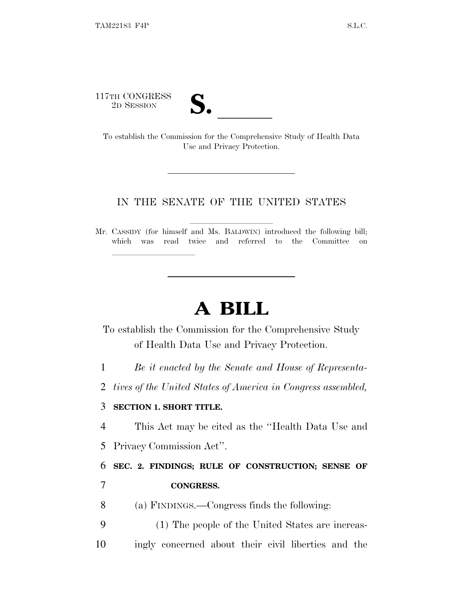117TH CONGRESS

| LJ 0 |  |
|------|--|
|      |  |

TH CONGRESS<br>
2D SESSION<br>
To establish the Commission for the Comprehensive Study of Health Data Use and Privacy Protection.

#### IN THE SENATE OF THE UNITED STATES

Mr. CASSIDY (for himself and Ms. BALDWIN) introduced the following bill; which was read twice and referred to the Committee on

# **A BILL**

To establish the Commission for the Comprehensive Study of Health Data Use and Privacy Protection.

1 *Be it enacted by the Senate and House of Representa-*

2 *tives of the United States of America in Congress assembled,*

#### 3 **SECTION 1. SHORT TITLE.**

lla se al consegue de la consegue de la consegue de la consegue de la consegue de la consegue de la consegue d<br>La consegue de la consegue de la consegue de la consegue de la consegue de la consegue de la consegue de la co

4 This Act may be cited as the ''Health Data Use and 5 Privacy Commission Act''.

6 **SEC. 2. FINDINGS; RULE OF CONSTRUCTION; SENSE OF**

## 7 **CONGRESS.**

8 (a) FINDINGS.—Congress finds the following:

9 (1) The people of the United States are increas-10 ingly concerned about their civil liberties and the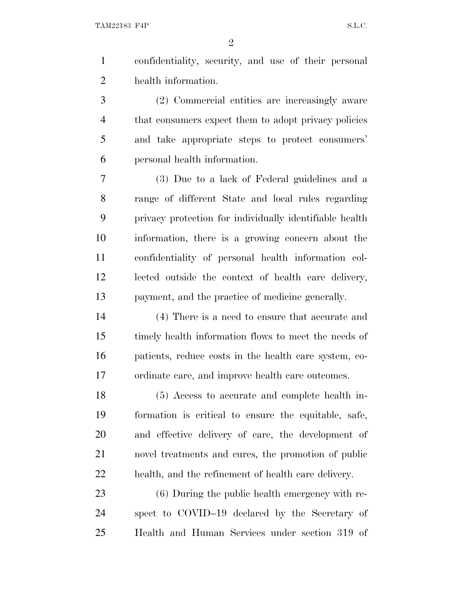confidentiality, security, and use of their personal health information.

 (2) Commercial entities are increasingly aware that consumers expect them to adopt privacy policies and take appropriate steps to protect consumers' personal health information.

 (3) Due to a lack of Federal guidelines and a range of different State and local rules regarding privacy protection for individually identifiable health information, there is a growing concern about the confidentiality of personal health information col- lected outside the context of health care delivery, payment, and the practice of medicine generally.

 (4) There is a need to ensure that accurate and timely health information flows to meet the needs of patients, reduce costs in the health care system, co-ordinate care, and improve health care outcomes.

 (5) Access to accurate and complete health in- formation is critical to ensure the equitable, safe, and effective delivery of care, the development of novel treatments and cures, the promotion of public health, and the refinement of health care delivery.

 (6) During the public health emergency with re- spect to COVID–19 declared by the Secretary of Health and Human Services under section 319 of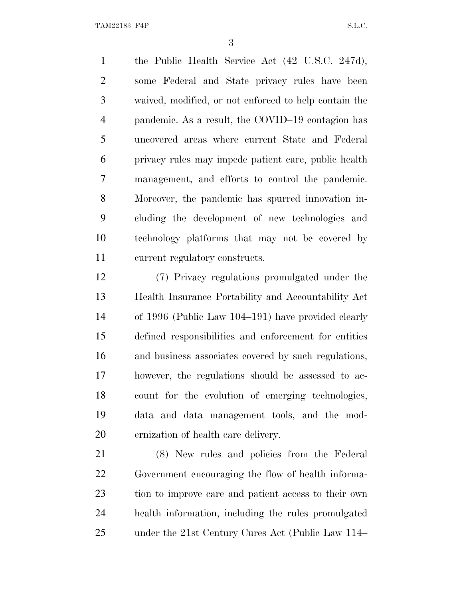TAM22183 F4P S.L.C.

 the Public Health Service Act (42 U.S.C. 247d), some Federal and State privacy rules have been waived, modified, or not enforced to help contain the pandemic. As a result, the COVID–19 contagion has uncovered areas where current State and Federal privacy rules may impede patient care, public health management, and efforts to control the pandemic. Moreover, the pandemic has spurred innovation in- cluding the development of new technologies and technology platforms that may not be covered by current regulatory constructs.

 (7) Privacy regulations promulgated under the Health Insurance Portability and Accountability Act of 1996 (Public Law 104–191) have provided clearly defined responsibilities and enforcement for entities and business associates covered by such regulations, however, the regulations should be assessed to ac- count for the evolution of emerging technologies, data and data management tools, and the mod-ernization of health care delivery.

 (8) New rules and policies from the Federal Government encouraging the flow of health informa- tion to improve care and patient access to their own health information, including the rules promulgated under the 21st Century Cures Act (Public Law 114–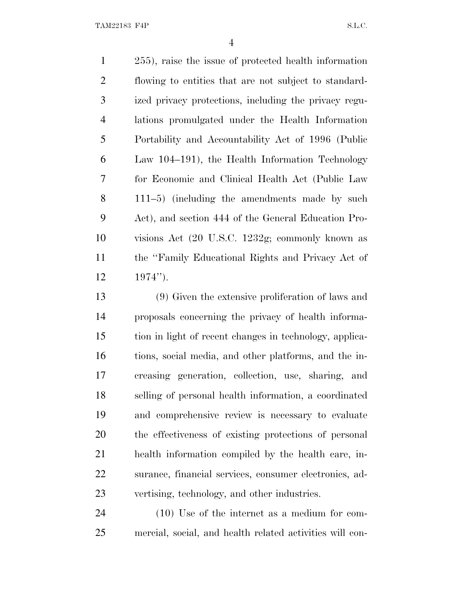TAM22183 F4P S.L.C.

 255), raise the issue of protected health information flowing to entities that are not subject to standard- ized privacy protections, including the privacy regu- lations promulgated under the Health Information Portability and Accountability Act of 1996 (Public Law 104–191), the Health Information Technology for Economic and Clinical Health Act (Public Law 111–5) (including the amendments made by such Act), and section 444 of the General Education Pro- visions Act (20 U.S.C. 1232g; commonly known as the ''Family Educational Rights and Privacy Act of  $12 \t 1974'$ ).

 (9) Given the extensive proliferation of laws and proposals concerning the privacy of health informa- tion in light of recent changes in technology, applica- tions, social media, and other platforms, and the in- creasing generation, collection, use, sharing, and selling of personal health information, a coordinated and comprehensive review is necessary to evaluate the effectiveness of existing protections of personal health information compiled by the health care, in- surance, financial services, consumer electronics, ad-vertising, technology, and other industries.

 (10) Use of the internet as a medium for com-mercial, social, and health related activities will con-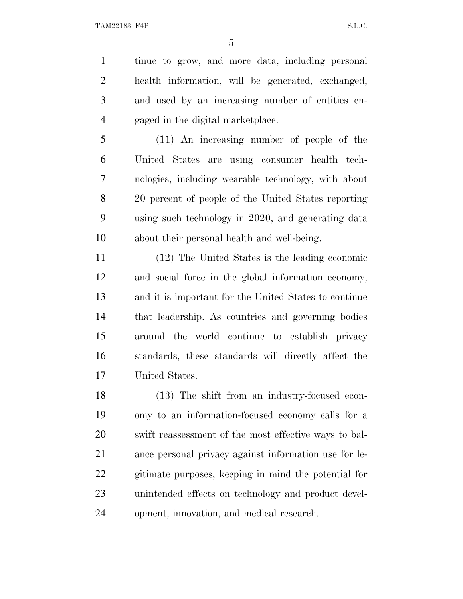tinue to grow, and more data, including personal health information, will be generated, exchanged, and used by an increasing number of entities en-gaged in the digital marketplace.

 (11) An increasing number of people of the United States are using consumer health tech- nologies, including wearable technology, with about 20 percent of people of the United States reporting using such technology in 2020, and generating data about their personal health and well-being.

 (12) The United States is the leading economic and social force in the global information economy, and it is important for the United States to continue that leadership. As countries and governing bodies around the world continue to establish privacy standards, these standards will directly affect the United States.

 (13) The shift from an industry-focused econ- omy to an information-focused economy calls for a swift reassessment of the most effective ways to bal- ance personal privacy against information use for le- gitimate purposes, keeping in mind the potential for unintended effects on technology and product devel-opment, innovation, and medical research.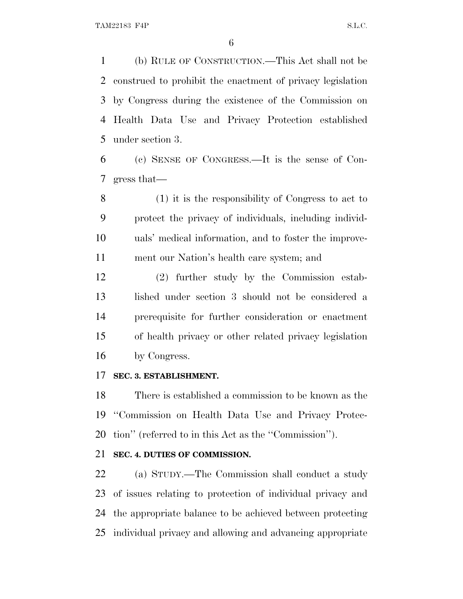(b) RULE OF CONSTRUCTION.—This Act shall not be construed to prohibit the enactment of privacy legislation by Congress during the existence of the Commission on Health Data Use and Privacy Protection established under section 3.

 (c) SENSE OF CONGRESS.—It is the sense of Con-gress that—

 (1) it is the responsibility of Congress to act to protect the privacy of individuals, including individ- uals' medical information, and to foster the improve-ment our Nation's health care system; and

 (2) further study by the Commission estab- lished under section 3 should not be considered a prerequisite for further consideration or enactment of health privacy or other related privacy legislation by Congress.

#### **SEC. 3. ESTABLISHMENT.**

 There is established a commission to be known as the ''Commission on Health Data Use and Privacy Protec-tion'' (referred to in this Act as the ''Commission'').

#### **SEC. 4. DUTIES OF COMMISSION.**

 (a) STUDY.—The Commission shall conduct a study of issues relating to protection of individual privacy and the appropriate balance to be achieved between protecting individual privacy and allowing and advancing appropriate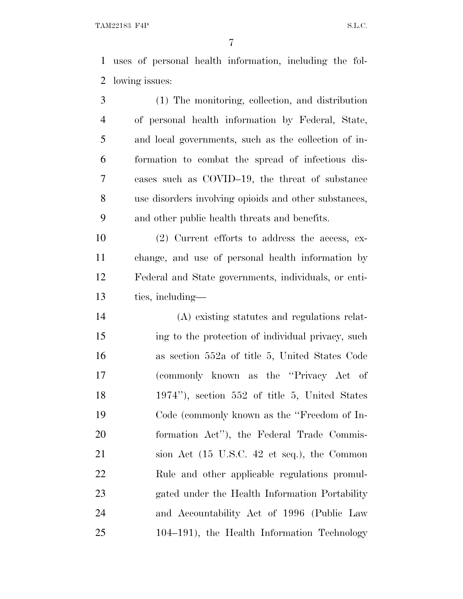uses of personal health information, including the fol-lowing issues:

 (1) The monitoring, collection, and distribution of personal health information by Federal, State, and local governments, such as the collection of in- formation to combat the spread of infectious dis- eases such as COVID–19, the threat of substance use disorders involving opioids and other substances, and other public health threats and benefits.

 (2) Current efforts to address the access, ex- change, and use of personal health information by Federal and State governments, individuals, or enti-ties, including—

 (A) existing statutes and regulations relat- ing to the protection of individual privacy, such as section 552a of title 5, United States Code (commonly known as the ''Privacy Act of 1974''), section 552 of title 5, United States Code (commonly known as the ''Freedom of In- formation Act''), the Federal Trade Commis- sion Act (15 U.S.C. 42 et seq.), the Common Rule and other applicable regulations promul- gated under the Health Information Portability and Accountability Act of 1996 (Public Law 104–191), the Health Information Technology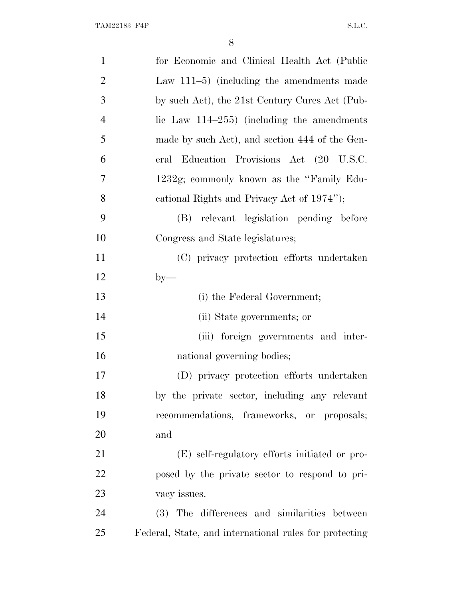| $\mathbf{1}$   | for Economic and Clinical Health Act (Public           |
|----------------|--------------------------------------------------------|
| $\overline{2}$ | Law $111-5$ ) (including the amendments made           |
| 3              | by such Act), the 21st Century Cures Act (Pub-         |
| $\overline{4}$ | lic Law $114-255$ ) (including the amendments          |
| 5              | made by such Act), and section 444 of the Gen-         |
| 6              | Education Provisions Act (20 U.S.C.<br>eral            |
| 7              | 1232g; commonly known as the "Family Edu-              |
| 8              | cational Rights and Privacy Act of 1974");             |
| 9              | (B) relevant legislation pending before                |
| 10             | Congress and State legislatures;                       |
| 11             | (C) privacy protection efforts undertaken              |
| 12             | $by-$                                                  |
| 13             | (i) the Federal Government;                            |
| 14             | (ii) State governments; or                             |
| 15             | (iii) foreign governments and inter-                   |
| 16             | national governing bodies;                             |
| 17             | (D) privacy protection efforts undertaken              |
| 18             | by the private sector, including any relevant          |
| 19             | recommendations, frameworks, or proposals;             |
| 20             | and                                                    |
| 21             | (E) self-regulatory efforts initiated or pro-          |
| 22             | posed by the private sector to respond to pri-         |
| 23             | vacy issues.                                           |
| 24             | (3) The differences and similarities between           |
| 25             | Federal, State, and international rules for protecting |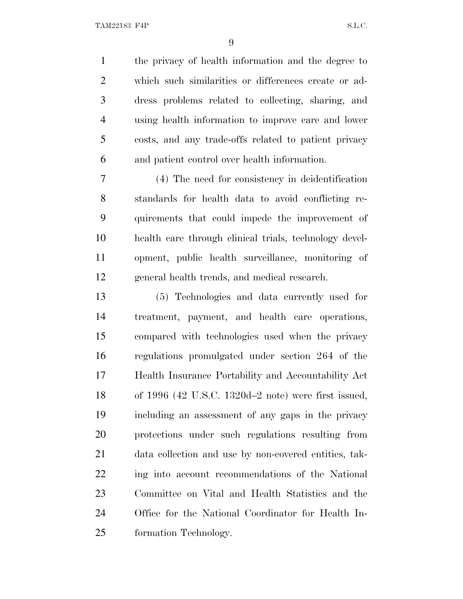TAM22183 F4P S.L.C.

 the privacy of health information and the degree to which such similarities or differences create or ad- dress problems related to collecting, sharing, and using health information to improve care and lower costs, and any trade-offs related to patient privacy and patient control over health information.

 (4) The need for consistency in deidentification standards for health data to avoid conflicting re- quirements that could impede the improvement of health care through clinical trials, technology devel- opment, public health surveillance, monitoring of general health trends, and medical research.

 (5) Technologies and data currently used for treatment, payment, and health care operations, compared with technologies used when the privacy regulations promulgated under section 264 of the Health Insurance Portability and Accountability Act of 1996 (42 U.S.C. 1320d–2 note) were first issued, including an assessment of any gaps in the privacy protections under such regulations resulting from data collection and use by non-covered entities, tak- ing into account recommendations of the National Committee on Vital and Health Statistics and the Office for the National Coordinator for Health In-formation Technology.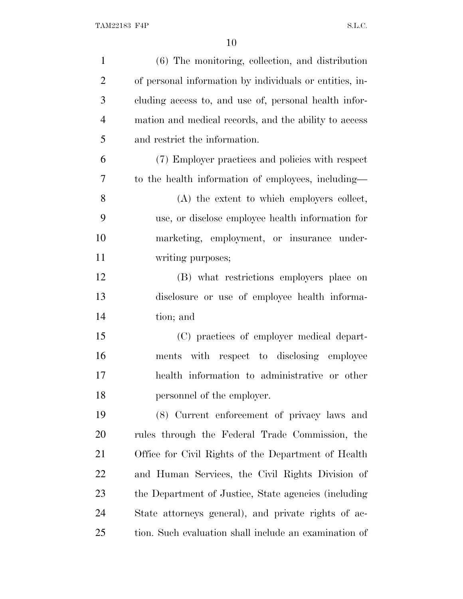| $\mathbf{1}$   | (6) The monitoring, collection, and distribution        |
|----------------|---------------------------------------------------------|
| $\overline{2}$ | of personal information by individuals or entities, in- |
| 3              | cluding access to, and use of, personal health infor-   |
| $\overline{4}$ | mation and medical records, and the ability to access   |
| 5              | and restrict the information.                           |
| 6              | (7) Employer practices and policies with respect        |
| 7              | to the health information of employees, including—      |
| $8\,$          | (A) the extent to which employers collect,              |
| 9              | use, or disclose employee health information for        |
| 10             | marketing, employment, or insurance under-              |
| 11             | writing purposes;                                       |
| 12             | (B) what restrictions employers place on                |
| 13             | disclosure or use of employee health informa-           |
| 14             | tion; and                                               |
| 15             | (C) practices of employer medical depart-               |
| 16             | ments with respect to disclosing employee               |
| 17             | health information to administrative or other           |
| 18             | personnel of the employer.                              |
| 19             | (8) Current enforcement of privacy laws and             |
| 20             | rules through the Federal Trade Commission, the         |
| 21             | Office for Civil Rights of the Department of Health     |
| 22             | and Human Services, the Civil Rights Division of        |
| 23             | the Department of Justice, State agencies (including)   |
| 24             | State attorneys general), and private rights of ac-     |
| 25             | tion. Such evaluation shall include an examination of   |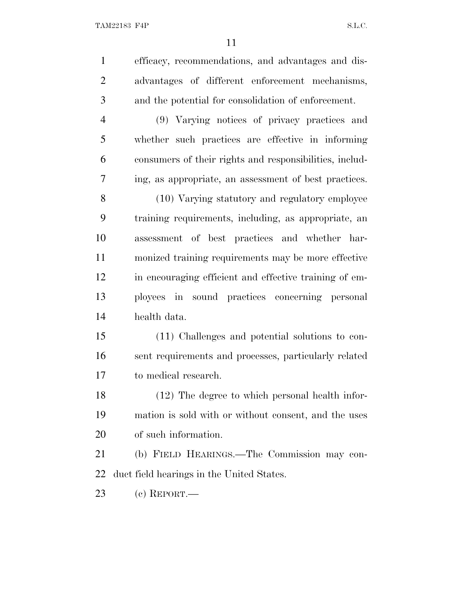efficacy, recommendations, and advantages and dis- advantages of different enforcement mechanisms, and the potential for consolidation of enforcement. (9) Varying notices of privacy practices and

 whether such practices are effective in informing consumers of their rights and responsibilities, includ-ing, as appropriate, an assessment of best practices.

 (10) Varying statutory and regulatory employee training requirements, including, as appropriate, an assessment of best practices and whether har- monized training requirements may be more effective in encouraging efficient and effective training of em- ployees in sound practices concerning personal health data.

 (11) Challenges and potential solutions to con- sent requirements and processes, particularly related to medical research.

 (12) The degree to which personal health infor- mation is sold with or without consent, and the uses of such information.

 (b) FIELD HEARINGS.—The Commission may con-duct field hearings in the United States.

(c) REPORT.—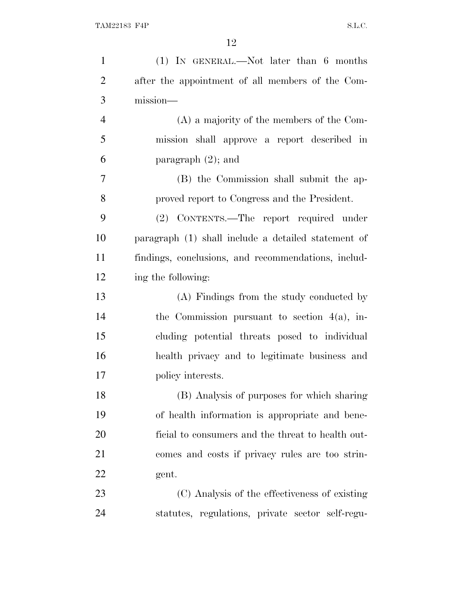| $\mathbf{1}$   | $(1)$ IN GENERAL.—Not later than 6 months           |
|----------------|-----------------------------------------------------|
| $\overline{2}$ | after the appointment of all members of the Com-    |
| 3              | mission-                                            |
| $\overline{4}$ | (A) a majority of the members of the Com-           |
| 5              | mission shall approve a report described in         |
| 6              | paragraph $(2)$ ; and                               |
| $\tau$         | (B) the Commission shall submit the ap-             |
| 8              | proved report to Congress and the President.        |
| 9              | (2) CONTENTS.—The report required under             |
| 10             | paragraph (1) shall include a detailed statement of |
| 11             | findings, conclusions, and recommendations, includ- |
| 12             | ing the following:                                  |
| 13             | (A) Findings from the study conducted by            |
| 14             | the Commission pursuant to section $4(a)$ , in-     |
| 15             | cluding potential threats posed to individual       |
| 16             | health privacy and to legitimate business and       |
| 17             | policy interests.                                   |
| 18             | (B) Analysis of purposes for which sharing          |
| 19             | of health information is appropriate and bene-      |
| 20             | ficial to consumers and the threat to health out-   |
| 21             | comes and costs if privacy rules are too strin-     |
| 22             | gent.                                               |
| 23             | (C) Analysis of the effectiveness of existing       |
| 24             | statutes, regulations, private sector self-regu-    |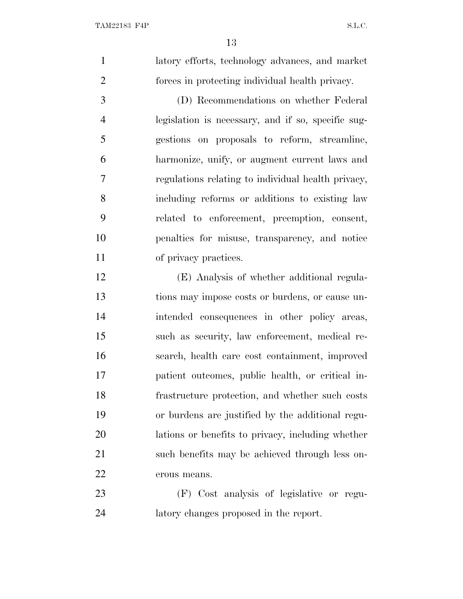latory efforts, technology advances, and market forces in protecting individual health privacy.

 (D) Recommendations on whether Federal legislation is necessary, and if so, specific sug- gestions on proposals to reform, streamline, harmonize, unify, or augment current laws and regulations relating to individual health privacy, including reforms or additions to existing law related to enforcement, preemption, consent, penalties for misuse, transparency, and notice 11 of privacy practices.

 (E) Analysis of whether additional regula- tions may impose costs or burdens, or cause un- intended consequences in other policy areas, such as security, law enforcement, medical re- search, health care cost containment, improved patient outcomes, public health, or critical in- frastructure protection, and whether such costs or burdens are justified by the additional regu- lations or benefits to privacy, including whether such benefits may be achieved through less on-erous means.

 (F) Cost analysis of legislative or regu-latory changes proposed in the report.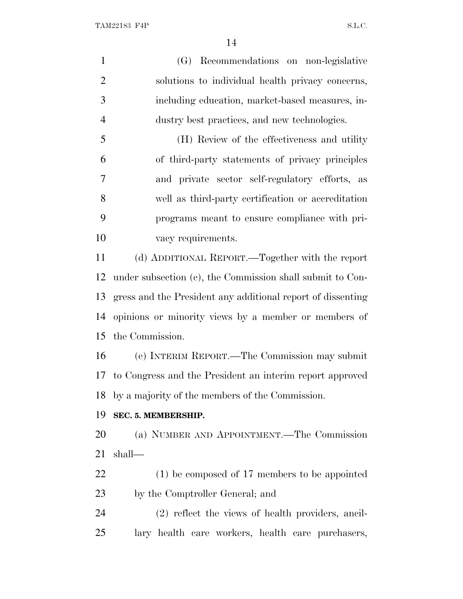(G) Recommendations on non-legislative solutions to individual health privacy concerns, including education, market-based measures, in- dustry best practices, and new technologies. (H) Review of the effectiveness and utility of third-party statements of privacy principles and private sector self-regulatory efforts, as well as third-party certification or accreditation programs meant to ensure compliance with pri- vacy requirements. (d) ADDITIONAL REPORT.—Together with the report under subsection (c), the Commission shall submit to Con- gress and the President any additional report of dissenting opinions or minority views by a member or members of the Commission. (e) INTERIM REPORT.—The Commission may submit to Congress and the President an interim report approved

by a majority of the members of the Commission.

## **SEC. 5. MEMBERSHIP.**

 (a) NUMBER AND APPOINTMENT.—The Commission shall—

 (1) be composed of 17 members to be appointed by the Comptroller General; and

 (2) reflect the views of health providers, ancil-lary health care workers, health care purchasers,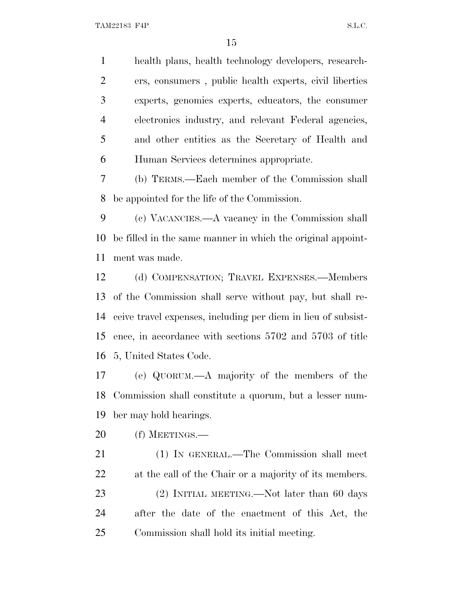health plans, health technology developers, research- ers, consumers , public health experts, civil liberties experts, genomics experts, educators, the consumer electronics industry, and relevant Federal agencies, and other entities as the Secretary of Health and Human Services determines appropriate.

 (b) TERMS.—Each member of the Commission shall be appointed for the life of the Commission.

 (c) VACANCIES.—A vacancy in the Commission shall be filled in the same manner in which the original appoint-ment was made.

 (d) COMPENSATION; TRAVEL EXPENSES.—Members of the Commission shall serve without pay, but shall re- ceive travel expenses, including per diem in lieu of subsist- ence, in accordance with sections 5702 and 5703 of title 5, United States Code.

 (e) QUORUM.—A majority of the members of the Commission shall constitute a quorum, but a lesser num-ber may hold hearings.

(f) MEETINGS.—

 (1) IN GENERAL.—The Commission shall meet at the call of the Chair or a majority of its members. 23 (2) INITIAL MEETING.—Not later than 60 days after the date of the enactment of this Act, the Commission shall hold its initial meeting.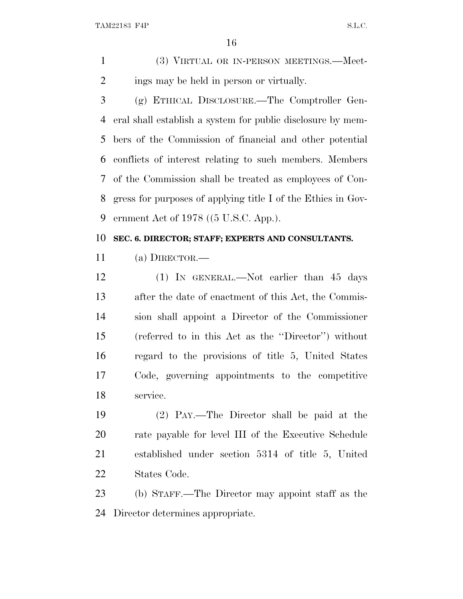TAM22183 F4P S.L.C.

 (3) VIRTUAL OR IN-PERSON MEETINGS.—Meet-ings may be held in person or virtually.

 (g) ETHICAL DISCLOSURE.—The Comptroller Gen- eral shall establish a system for public disclosure by mem- bers of the Commission of financial and other potential conflicts of interest relating to such members. Members of the Commission shall be treated as employees of Con- gress for purposes of applying title I of the Ethics in Gov-ernment Act of 1978 ((5 U.S.C. App.).

#### **SEC. 6. DIRECTOR; STAFF; EXPERTS AND CONSULTANTS.**

(a) DIRECTOR.—

 (1) IN GENERAL.—Not earlier than 45 days after the date of enactment of this Act, the Commis- sion shall appoint a Director of the Commissioner (referred to in this Act as the ''Director'') without regard to the provisions of title 5, United States Code, governing appointments to the competitive service.

 (2) PAY.—The Director shall be paid at the rate payable for level III of the Executive Schedule established under section 5314 of title 5, United States Code.

 (b) STAFF.—The Director may appoint staff as the Director determines appropriate.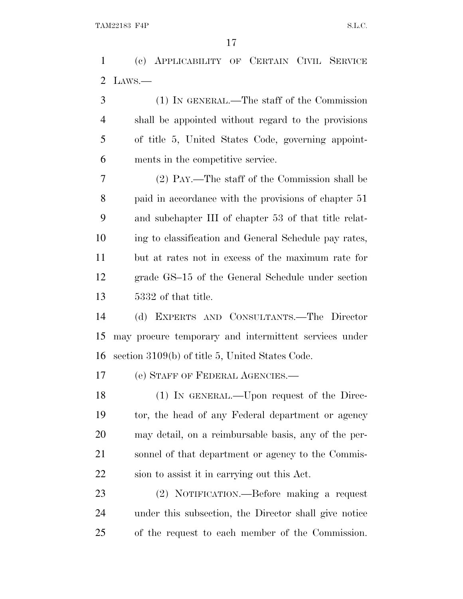(c) APPLICABILITY OF CERTAIN CIVIL SERVICE LAWS.—

 (1) IN GENERAL.—The staff of the Commission shall be appointed without regard to the provisions of title 5, United States Code, governing appoint-ments in the competitive service.

 (2) PAY.—The staff of the Commission shall be paid in accordance with the provisions of chapter 51 and subchapter III of chapter 53 of that title relat- ing to classification and General Schedule pay rates, but at rates not in excess of the maximum rate for grade GS–15 of the General Schedule under section 5332 of that title.

 (d) EXPERTS AND CONSULTANTS.—The Director may procure temporary and intermittent services under section 3109(b) of title 5, United States Code.

(e) STAFF OF FEDERAL AGENCIES.—

 (1) IN GENERAL.—Upon request of the Direc- tor, the head of any Federal department or agency may detail, on a reimbursable basis, any of the per- sonnel of that department or agency to the Commis-sion to assist it in carrying out this Act.

 (2) NOTIFICATION.—Before making a request under this subsection, the Director shall give notice of the request to each member of the Commission.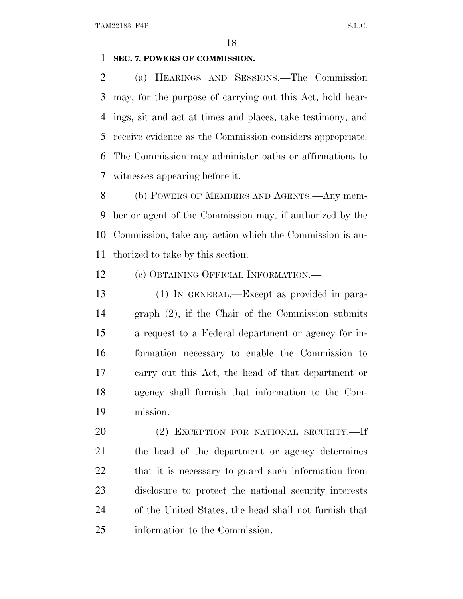#### **SEC. 7. POWERS OF COMMISSION.**

 (a) HEARINGS AND SESSIONS.—The Commission may, for the purpose of carrying out this Act, hold hear- ings, sit and act at times and places, take testimony, and receive evidence as the Commission considers appropriate. The Commission may administer oaths or affirmations to witnesses appearing before it.

 (b) POWERS OF MEMBERS AND AGENTS.—Any mem- ber or agent of the Commission may, if authorized by the Commission, take any action which the Commission is au-thorized to take by this section.

12 (c) OBTAINING OFFICIAL INFORMATION.—

 (1) IN GENERAL.—Except as provided in para- graph (2), if the Chair of the Commission submits a request to a Federal department or agency for in- formation necessary to enable the Commission to carry out this Act, the head of that department or agency shall furnish that information to the Com-mission.

 (2) EXCEPTION FOR NATIONAL SECURITY.—If the head of the department or agency determines that it is necessary to guard such information from disclosure to protect the national security interests of the United States, the head shall not furnish that information to the Commission.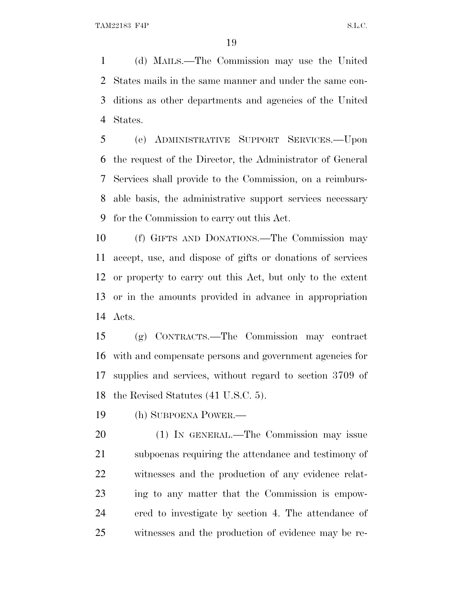(d) MAILS.—The Commission may use the United States mails in the same manner and under the same con- ditions as other departments and agencies of the United States.

 (e) ADMINISTRATIVE SUPPORT SERVICES.—Upon the request of the Director, the Administrator of General Services shall provide to the Commission, on a reimburs- able basis, the administrative support services necessary for the Commission to carry out this Act.

 (f) GIFTS AND DONATIONS.—The Commission may accept, use, and dispose of gifts or donations of services or property to carry out this Act, but only to the extent or in the amounts provided in advance in appropriation Acts.

 (g) CONTRACTS.—The Commission may contract with and compensate persons and government agencies for supplies and services, without regard to section 3709 of the Revised Statutes (41 U.S.C. 5).

(h) SUBPOENA POWER.—

 (1) IN GENERAL.—The Commission may issue subpoenas requiring the attendance and testimony of witnesses and the production of any evidence relat- ing to any matter that the Commission is empow- ered to investigate by section 4. The attendance of witnesses and the production of evidence may be re-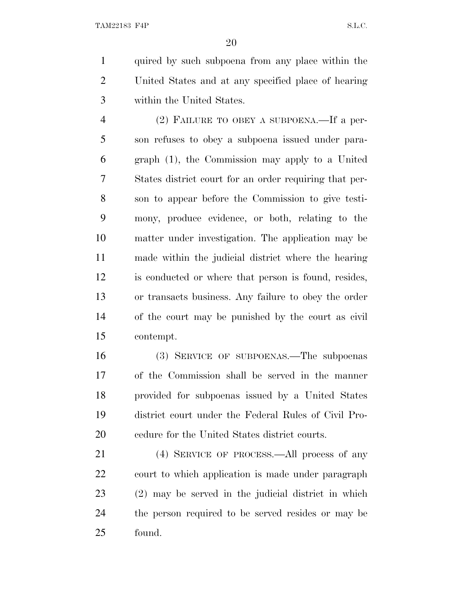quired by such subpoena from any place within the United States and at any specified place of hearing within the United States.

 (2) FAILURE TO OBEY A SUBPOENA.—If a per- son refuses to obey a subpoena issued under para- graph (1), the Commission may apply to a United States district court for an order requiring that per- son to appear before the Commission to give testi- mony, produce evidence, or both, relating to the matter under investigation. The application may be made within the judicial district where the hearing is conducted or where that person is found, resides, or transacts business. Any failure to obey the order of the court may be punished by the court as civil contempt.

 (3) SERVICE OF SUBPOENAS.—The subpoenas of the Commission shall be served in the manner provided for subpoenas issued by a United States district court under the Federal Rules of Civil Pro-cedure for the United States district courts.

 (4) SERVICE OF PROCESS.—All process of any court to which application is made under paragraph (2) may be served in the judicial district in which the person required to be served resides or may be found.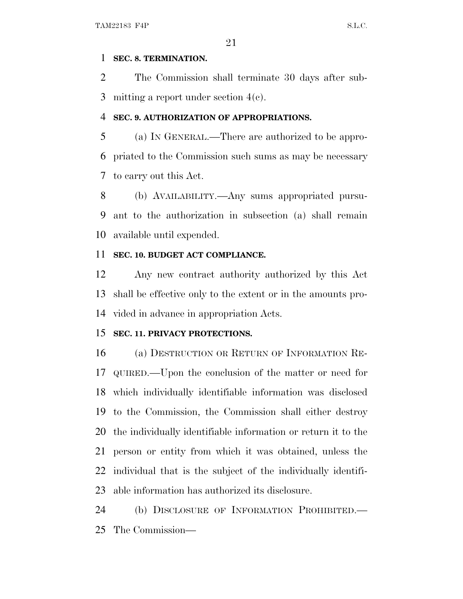#### **SEC. 8. TERMINATION.**

 The Commission shall terminate 30 days after sub-mitting a report under section 4(c).

### **SEC. 9. AUTHORIZATION OF APPROPRIATIONS.**

 (a) I<sup>N</sup> GENERAL.—There are authorized to be appro- priated to the Commission such sums as may be necessary to carry out this Act.

 (b) AVAILABILITY.—Any sums appropriated pursu- ant to the authorization in subsection (a) shall remain available until expended.

## **SEC. 10. BUDGET ACT COMPLIANCE.**

 Any new contract authority authorized by this Act shall be effective only to the extent or in the amounts pro-vided in advance in appropriation Acts.

## **SEC. 11. PRIVACY PROTECTIONS.**

 (a) DESTRUCTION OR RETURN OF INFORMATION RE- QUIRED.—Upon the conclusion of the matter or need for which individually identifiable information was disclosed to the Commission, the Commission shall either destroy the individually identifiable information or return it to the person or entity from which it was obtained, unless the individual that is the subject of the individually identifi-able information has authorized its disclosure.

24 (b) DISCLOSURE OF INFORMATION PROHIBITED. The Commission—